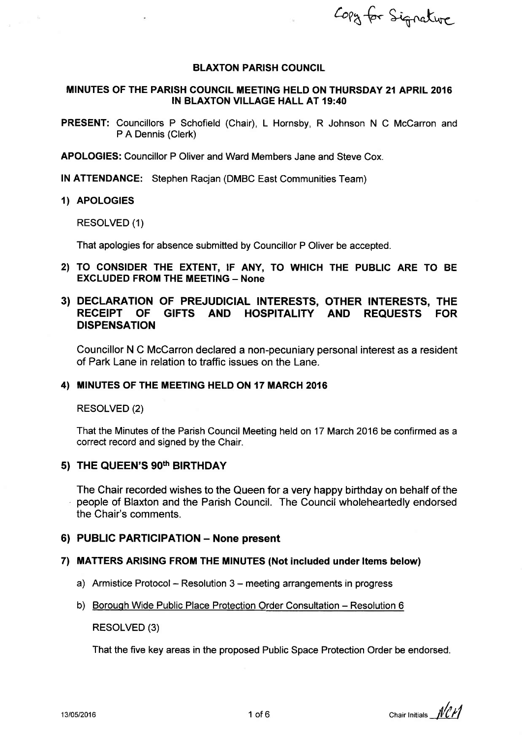Copy for Signature

#### BLAXTON PARISH COUNCIL

## MINUTES OF THE PARISH COUNCIL MEETING HELD ON THURSDAY 2{ APRIL 2016 lN BLAXTON VILLAGE HALL AT 19:40

PRESENT: Councillors P Schofield (Chair), L Hornsby, R Johnson N C McCarron and P A Dennis (Clerk)

APOLOGIES: Councillor P Oliver and Ward Members Jane and Steve Cox.

lN ATTENDANCE: Stephen Racjan (DMBC East Communities Team)

#### 1) APOLOGIES

RESOLVED (1)

That apologies for absence submitted by Councillor P Oliver be accepted.

2) TO CONSIDER THE EXTENT, IF ANY, TO WHICH THE PUBLIC ARE TO BE **EXCLUDED FROM THE MEETING - None** 

# 3) DECLARATION OF PREJUDICIAL INTERESTS, OTHER INTERESTS, THE<br>RECEIPT OF GIFTS AND HOSPITALITY AND REQUESTS FOR GIFTS AND HOSPITALITY AND REQUESTS FOR DISPENSATION

Councillor N C McCarron declared a non-pecuniary personal interest as a resident of Park Lane in relation to traffic issues on the Lane.

## 4) MINUTES OF THE MEETING HELD ON 17 MARCH 2016

RESOLVED (2)

That the Minutes of the Parish Council Meeting held on 17 March 2016 be confirmed as a correct record and signed by the Chair.

# 5) THE QUEEN'S 90<sup>th</sup> BIRTHDAY

The Chair recorded wishes to the Queen for a very happy birthday on behalf of the people of Blaxton and the Parish Council. The Council wholeheartedly endorsed the Chair's comments.

#### 6) PUBLIC PARTICIPATION - None present

#### 7) MATTERS ARISING FROM THE MINUTES (Not included under Items below)

- a) Armistice Protocol Resolution 3 meeting arrangements in progress
- b) Borough Wide Public Place Protection Order Consultation Resolution 6

RESOLVED (3)

That the five key areas in the proposed Public Space Protection Order be endorsed.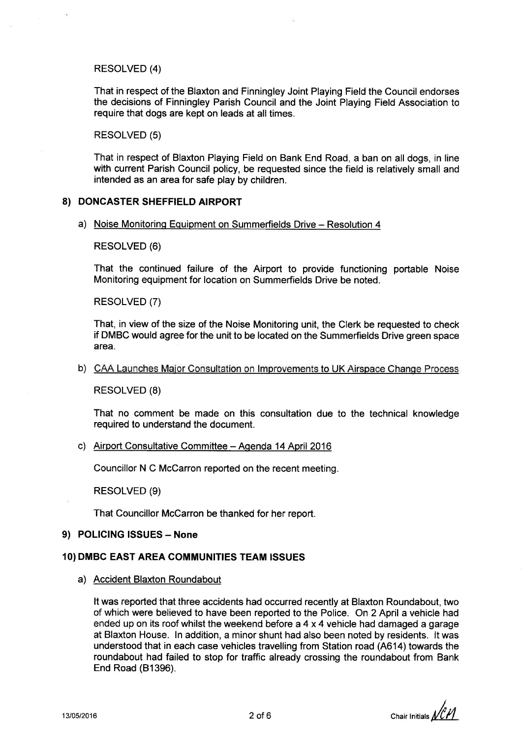## RESOLVED (4)

That in respect of the Blaxton and Finningley Joint Playing Field the Council endorses the decisions of Finningley Parish Council and the Joint Playing Field Association to require that dogs are kept on leads at all times.

#### RESOLVED (5)

That in respect of Blaxton Playing Field on Bank End Road, a ban on all dogs, in line with current Parish Council policy, be requested since the field is relatively small and intended as an area for safe play by children.

## 8) DONCASTER SHEFFIELD AIRPORT

#### a) Noise Monitoring Equipment on Summerfields Drive - Resolution 4

RESOLVED (6)

That the continued failure of the Airport to provide functioning portable Noise Monitoring equipment for location on Summerfields Drive be noted.

RESOLVED (7)

That, in view of the size of the Noise Monitoring unit, the Clerk be requested to check if DMBC would agree forthe unit to be located on the Summerfields Drive green space area.

#### b) CAA Launches Major Consultation on Improvements to UK Airspace Change Process

RESOLVED (8)

That no comment be made on this consultation due to the technical knowledge required to understand the document.

## c) Airport Consultative Committee - Agenda 14 April 2016

Councillor N C McCarron reported on the recent meeting.

RESOLVED (9)

That Councillor McCarron be thanked for her report.

## 9) POLICING ISSUES - None

#### 10) DMBC EAST AREA COMMUNITIES TEAM ISSUES

a) Accident Blaxton Roundabout

It was reported that three accidents had occurred recently at Blaxton Roundabout, two of which were believed to have been reported to the Police. On 2 April a vehicle had ended up on its roof whilst the weekend before a 4 x 4 vehicle had damaged a garage at Blaxton House. ln addition, a minor shunt had also been noted by residents. lt was understood that in each case vehicles travelling from Station road (A614) towards the roundabout had failed to stop for traffic already crossing the roundabout from Bank End Road (B1396).

I Chair Initials  $\mathcal{U}\ell$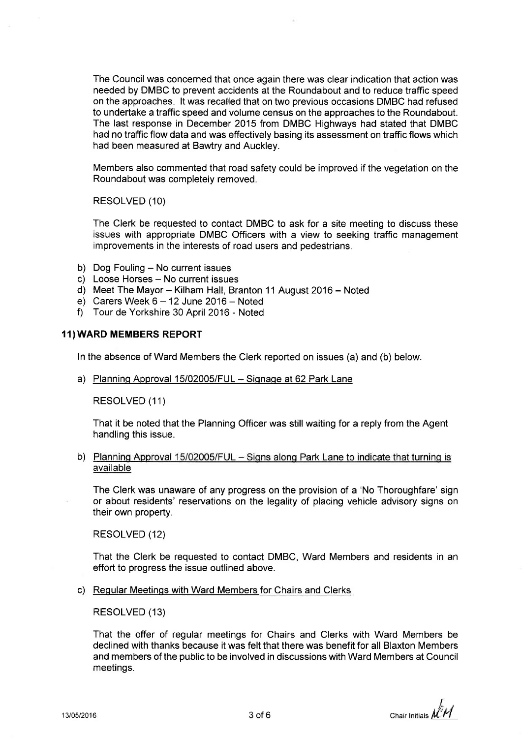The Council was concerned that once again there was clear indication that action was needed by DMBC to prevent accidents at the Roundabout and to reduce traffic speed on the approaches. lt was recalled that on two previous occasions DMBC had refused to undertake a traffic speed and volume census on the approaches to the Roundabout. The last response in December 2015 from DMBC Highways had stated that DMBC had no traffic flow data and was effectively basing its assessment on traffic flows which had been measured at Bawtry and Auckley.

Members also commented that road safety could be improved if the vegetation on the Roundabout was completely removed.

RESOLVED (10)

The Clerk be requested to contact DMBC to ask for a site meeting to discuss these issues with appropriate DMBC Officers with a view to seeking traffic management improvements in the interests of road users and pedestrians.

- b) Dog Fouling  $-$  No current issues
- c) Loose Horses No current issues
- d) Meet The Mayor Kilham Hall, Branton 11 August 2016 Noted
- e) Carers Week  $6 12$  June 2016 Noted
- f) Tour de Yorkshire 30 April 2016 Noted

#### 11)WARD MEMBERS REPORT

ln the absence of Ward Members the Clerk repofted on issues (a) and (b) below.

a) Planning Approval 15/02005/FUL - Signage at 62 Park Lane

RESOLVED (11)

That it be noted that the Planning Officer was still waiting for a reply from the Agent handling this issue.

b) Planning Approval 15/02005/FUL - Signs along Park Lane to indicate that turning is available

The Clerk was unaware of any progress on the provision of a 'No Thoroughfare' sign or about residents' reservations on the legality of placing vehicle advisory signs on their own property.

RESOLVED (12)

That the Clerk be requested to contact DMBC, Ward Members and residents in an effort to progress the issue outlined above.

c) Regular Meetings with Ward Members for Chairs and Clerks

RESOLVED (13)

That the offer of regular meetings for Chairs and Clerks with Ward Members be declined with thanks because it was felt that there was benefit for all Blaxton Members and members of the public to be involved in discussions with Ward Members at Council meetings.

13/05/2016 **3** of 6 **chair Initials**  $\mathcal{M}^T$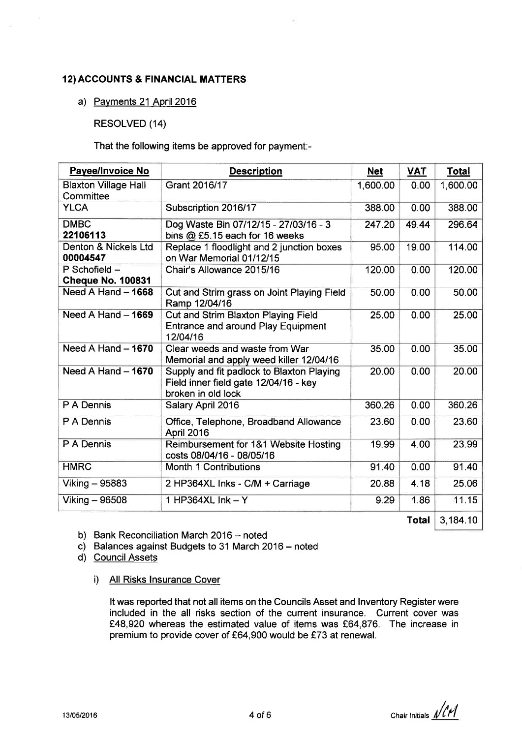# 12) ACCOUNTS & FINANCIAL MATTERS

# a) Pavments 21 April <sup>2016</sup>

RESOLVED (14)

That the following items be approved for payment:-

| <b>Payee/Invoice No</b>                   | <b>Description</b>                                                                                       | <b>Net</b> | <b>VAT</b> | <b>Total</b> |
|-------------------------------------------|----------------------------------------------------------------------------------------------------------|------------|------------|--------------|
| <b>Blaxton Village Hall</b><br>Committee  | Grant 2016/17                                                                                            | 1,600.00   | 0.00       | 1,600.00     |
| <b>YLCA</b>                               | Subscription 2016/17                                                                                     | 388.00     | 0.00       | 388.00       |
| <b>DMBC</b><br>22106113                   | Dog Waste Bin 07/12/15 - 27/03/16 - 3<br>bins @ £5.15 each for 16 weeks                                  | 247.20     | 49.44      | 296.64       |
| Denton & Nickels Ltd<br>00004547          | Replace 1 floodlight and 2 junction boxes<br>on War Memorial 01/12/15                                    | 95.00      | 19.00      | 114.00       |
| P Schofield -<br><b>Cheque No. 100831</b> | Chair's Allowance 2015/16                                                                                | 120.00     | 0.00       | 120.00       |
| Need A Hand - 1668                        | Cut and Strim grass on Joint Playing Field<br>Ramp 12/04/16                                              | 50.00      | 0.00       | 50.00        |
| Need A Hand - 1669                        | Cut and Strim Blaxton Playing Field<br><b>Entrance and around Play Equipment</b><br>12/04/16             | 25.00      | 0.00       | 25.00        |
| Need A Hand $-$ 1670                      | Clear weeds and waste from War<br>Memorial and apply weed killer 12/04/16                                | 35.00      | 0.00       | 35.00        |
| Need A Hand $-$ 1670                      | Supply and fit padlock to Blaxton Playing<br>Field inner field gate 12/04/16 - key<br>broken in old lock | 20.00      | 0.00       | 20.00        |
| P A Dennis                                | Salary April 2016                                                                                        | 360.26     | 0.00       | 360.26       |
| P A Dennis                                | Office, Telephone, Broadband Allowance<br>April 2016                                                     | 23.60      | 0.00       | 23.60        |
| P A Dennis                                | Reimbursement for 1&1 Website Hosting<br>costs 08/04/16 - 08/05/16                                       | 19.99      | 4.00       | 23.99        |
| <b>HMRC</b>                               | Month 1 Contributions                                                                                    | 91.40      | 0.00       | 91.40        |
| Viking - 95883                            | 2 HP364XL Inks - C/M + Carriage                                                                          | 20.88      | 4.18       | 25.06        |
| Viking - 96508                            | 1 HP364XL Ink $-$ Y                                                                                      | 9.29       | 1.86       | 11.15        |

**Total**  $3,184.10$ 

b) Bank Reconciliation March 2016 - noted

- c) Balances against Budgets to 31 March 2016 noted
- d) CouncilAssets
	- i) All Risks lnsurance Cover

It was reported that not all items on the Councils Asset and Inventory Register were included in the all risks section of the current insurance. Current cover was £48,920 whereas the estimated value of items was £64,876. The increase in premium to provide cover of £64,900 would be £73 at renewal.

13/05/2016 **4** of 6 **chair Initials**  $\sqrt{r}$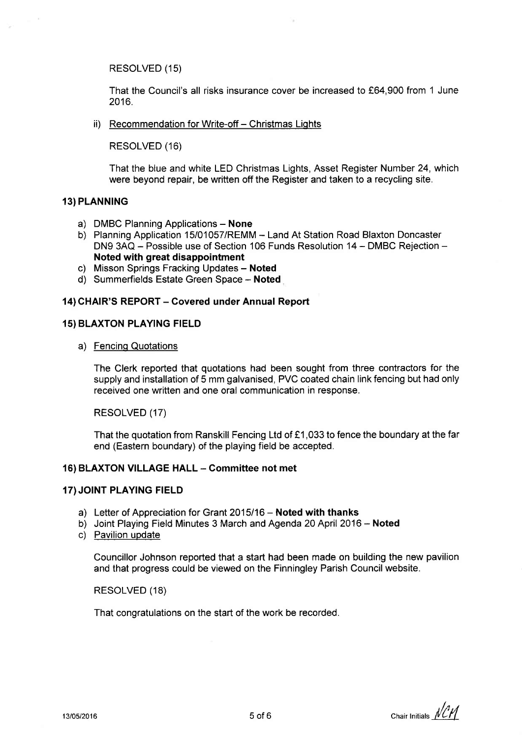RESOLVED (15)

That the Council's all risks insurance cover be increased to f64,900 from 1 June 2016.

ii) Recommendation for Write-off - Christmas Lights

RESOLVED (16)

That the blue and white LED Christmas Lights, Asset Register Number 24, which were beyond repair, be written off the Register and taken to a recycling site.

## 13) PLANNING

- a) DMBC Planning Applications None
- b) Planning Application 15/01057/REMM Land At Station Road Blaxton Doncaster DN9 3AQ - Possible use of Section 106 Funds Resolution 14 - DMBC Rejection -Noted with great disappointment
- c) Misson Springs Fracking Updates Noted
- d) Summerfields Estate Green Space Noted

## 14) CHAIR'S REPORT - Covered under Annual Report

## **15) BLAXTON PLAYING FIELD**

a) Fencing Quotations

The Clerk reported that quotations had been sought from three contractors for the supply and installation of 5 mm galvanised, PVC coated chain link fencing but had only received one written and one oral communication in response.

RESOLVED (17)

That the quotation from Ranskill Fencing Ltd of £1,033 to fence the boundary at the far end (Eastern boundary) of the playing field be accepted.

## 16) BLAXTON VILLAGE HALL - Committee not met

## 17) JOINT PLAYING FIELD

- a) Letter of Appreciation for Grant 2015/16 Noted with thanks
- b) Joint Playing Field Minutes 3 March and Agenda 20 April 2016 Noted
- c) Pavilion update

Councillor Johnson reported that a start had been made on building the new pavilion and that progress could be viewed on the Finningley Parish Council website.

RESOLVED (18)

That congratulations on the start of the work be recorded.